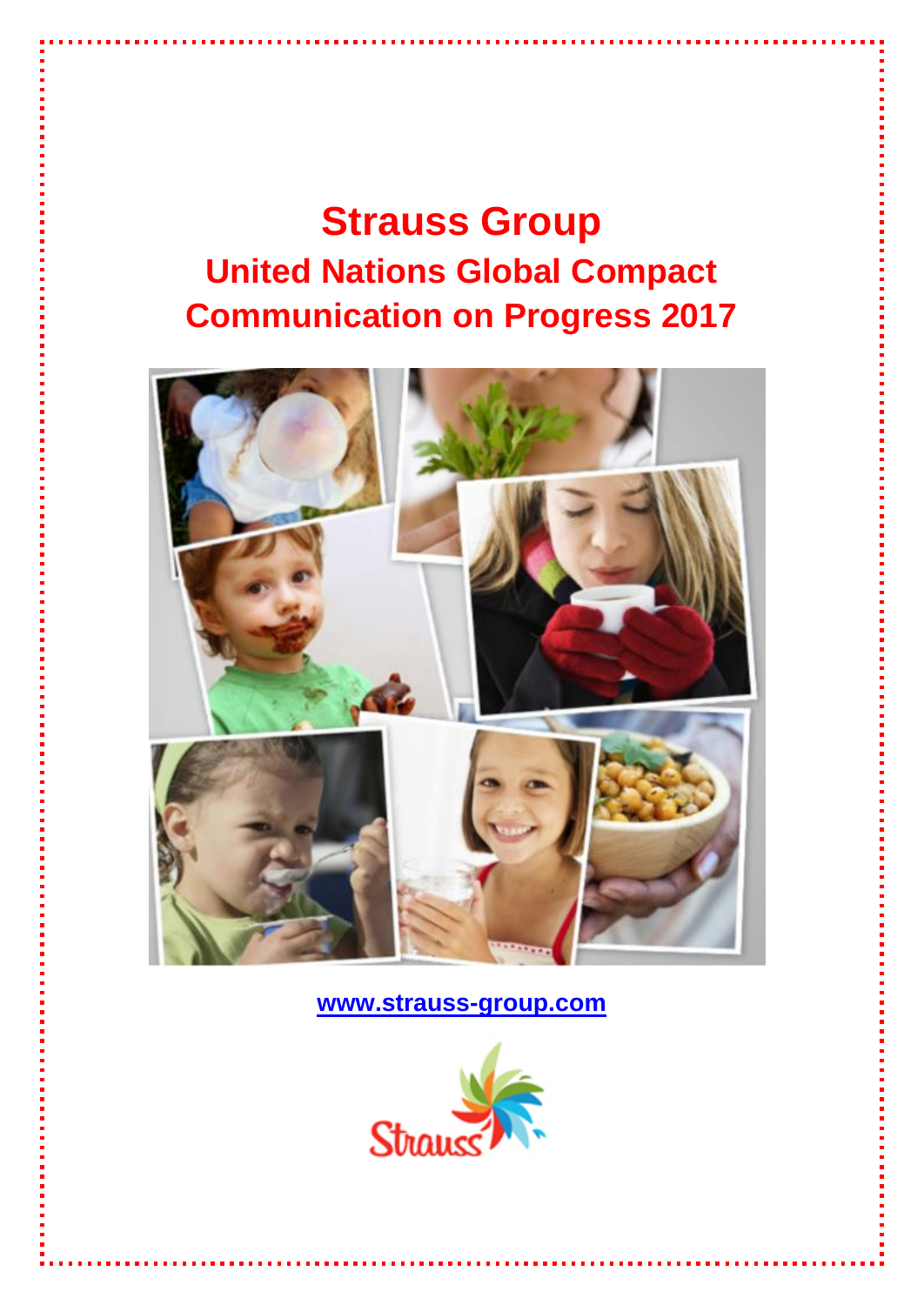# **Strauss Group United Nations Global Compact Communication on Progress 2017**



**[www.strauss-group.com](http://www.strauss-group.com/)**

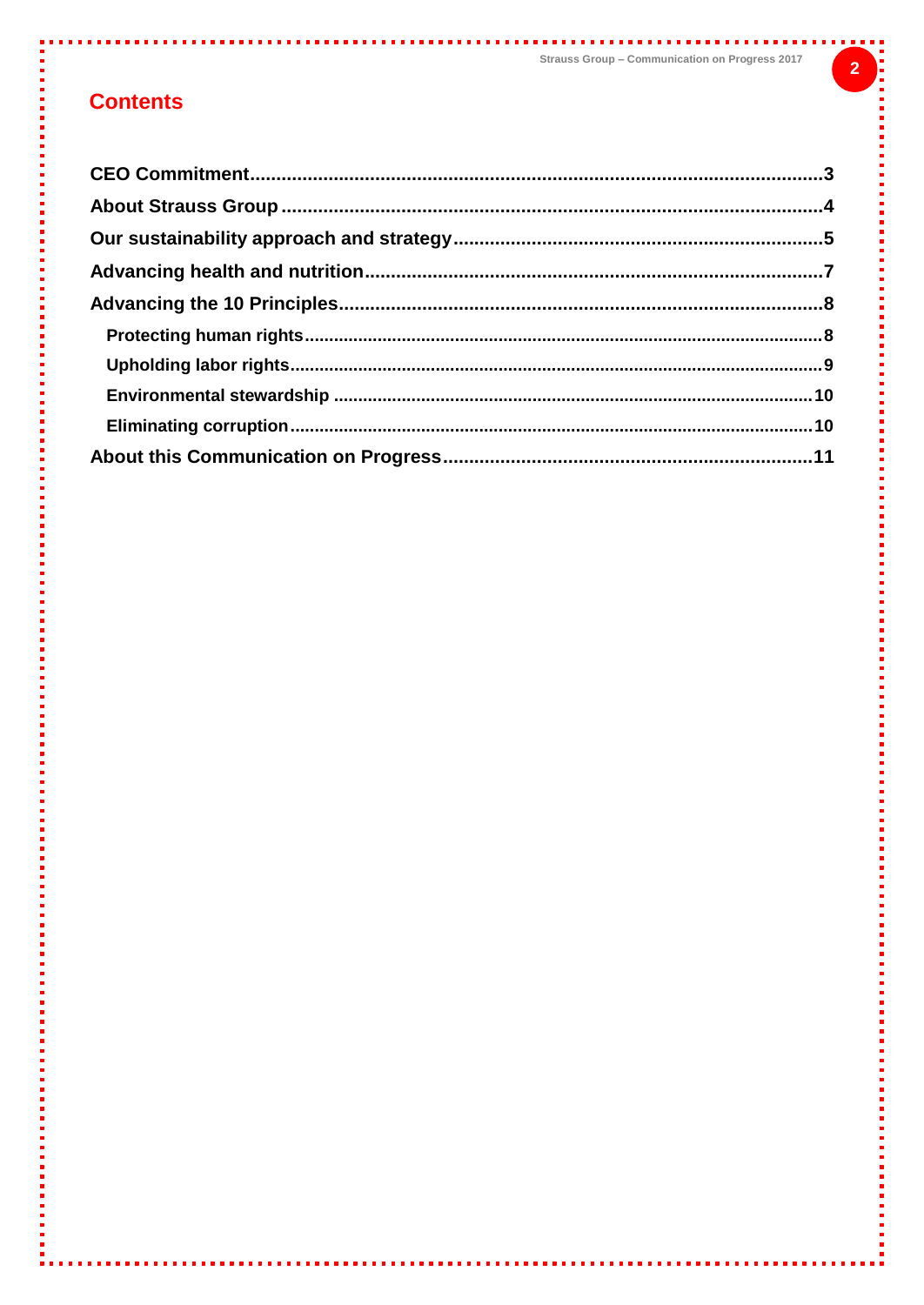### **Contents**

İ

ż

Î.

Î.

ī

ţ

Í

Į

. . . . . .

**Service**  $\mathbf{r}$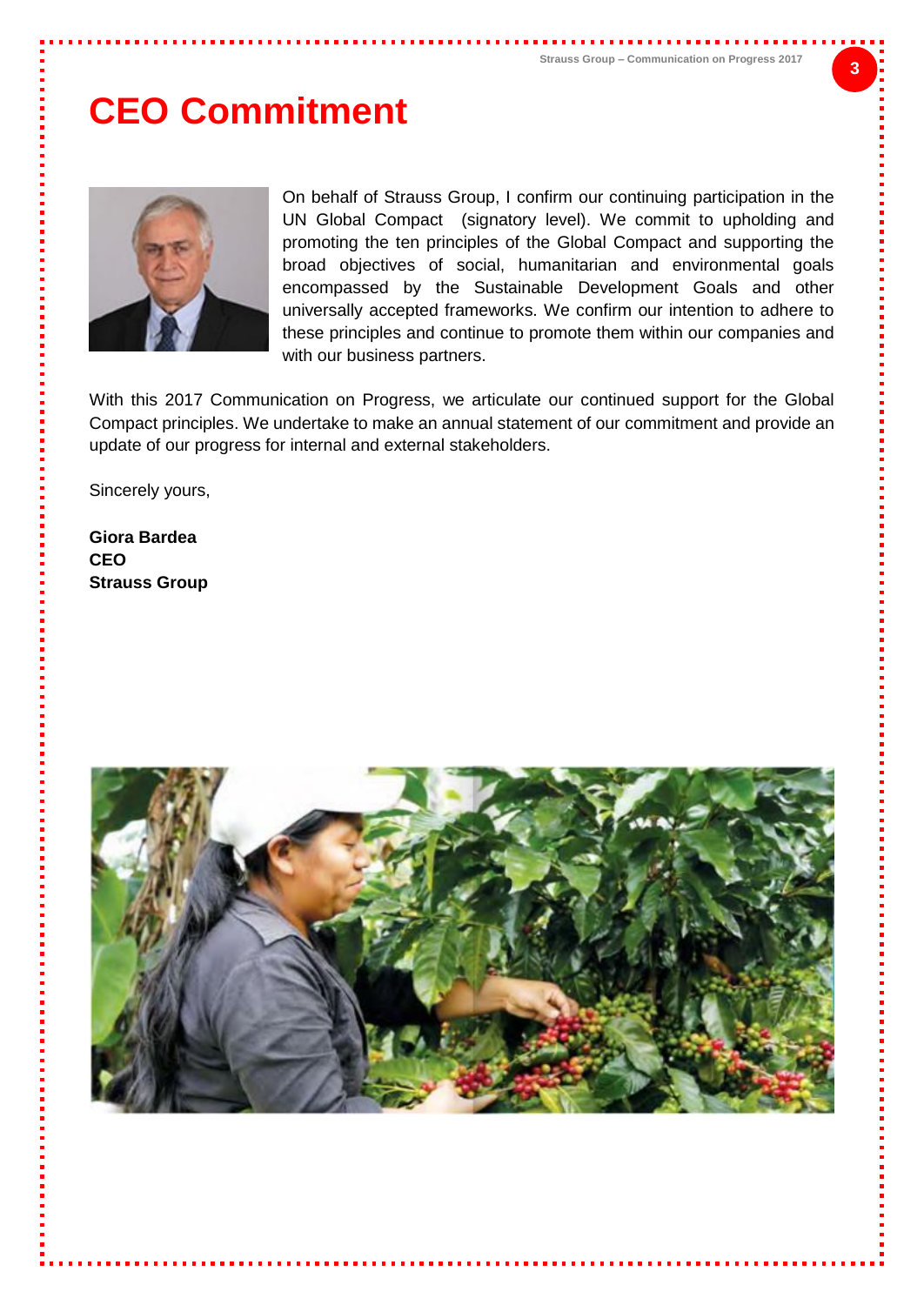# <span id="page-2-0"></span>**CEO Commitment**



On behalf of Strauss Group, I confirm our continuing participation in the UN Global Compact (signatory level). We commit to upholding and promoting the ten principles of the Global Compact and supporting the broad objectives of social, humanitarian and environmental goals encompassed by the Sustainable Development Goals and other universally accepted frameworks. We confirm our intention to adhere to these principles and continue to promote them within our companies and with our business partners.

With this 2017 Communication on Progress, we articulate our continued support for the Global Compact principles. We undertake to make an annual statement of our commitment and provide an update of our progress for internal and external stakeholders.

Sincerely yours,

**Giora Bardea CEO Strauss Group**

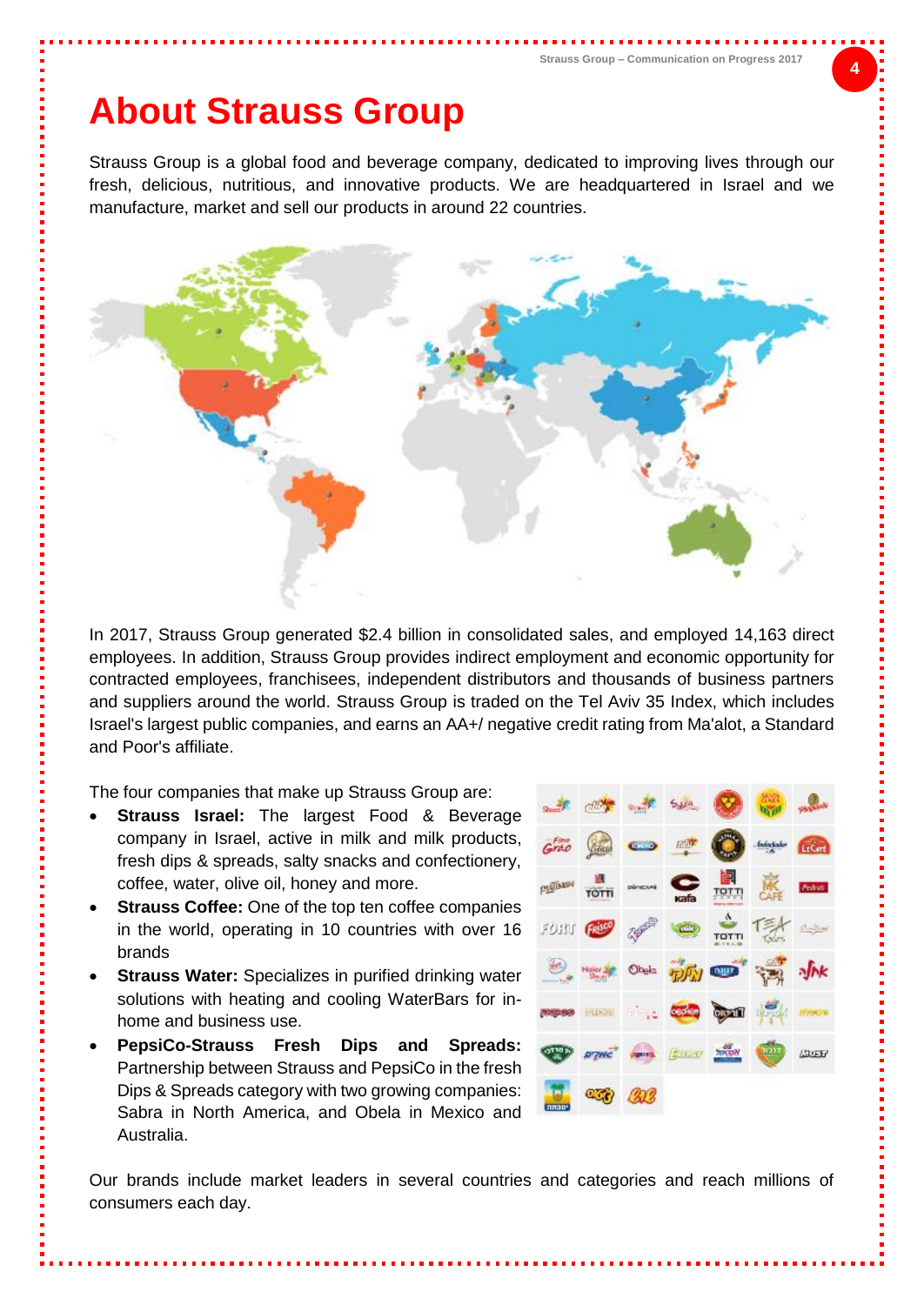### <span id="page-3-0"></span>**About Strauss Group**

Strauss Group is a global food and beverage company, dedicated to improving lives through our fresh, delicious, nutritious, and innovative products. We are headquartered in Israel and we manufacture, market and sell our products in around 22 countries.



In 2017, Strauss Group generated \$2.4 billion in consolidated sales, and employed 14,163 direct employees. In addition, Strauss Group provides indirect employment and economic opportunity for contracted employees, franchisees, independent distributors and thousands of business partners and suppliers around the world. Strauss Group is traded on the Tel Aviv 35 Index, which includes Israel's largest public companies, and earns an AA+/ negative credit rating from Ma'alot, a Standard and Poor's affiliate.

The four companies that make up Strauss Group are:

- **Strauss Israel:** The largest Food & Beverage company in Israel, active in milk and milk products, fresh dips & spreads, salty snacks and confectionery, coffee, water, olive oil, honey and more.
- **Strauss Coffee:** One of the top ten coffee companies in the world, operating in 10 countries with over 16 brands
- **Strauss Water:** Specializes in purified drinking water solutions with heating and cooling WaterBars for inhome and business use.
- **PepsiCo-Strauss Fresh Dips and Spreads:** Partnership between Strauss and PepsiCo in the fresh Dips & Spreads category with two growing companies: Sabra in North America, and Obela in Mexico and Australia.



Our brands include market leaders in several countries and categories and reach millions of consumers each day.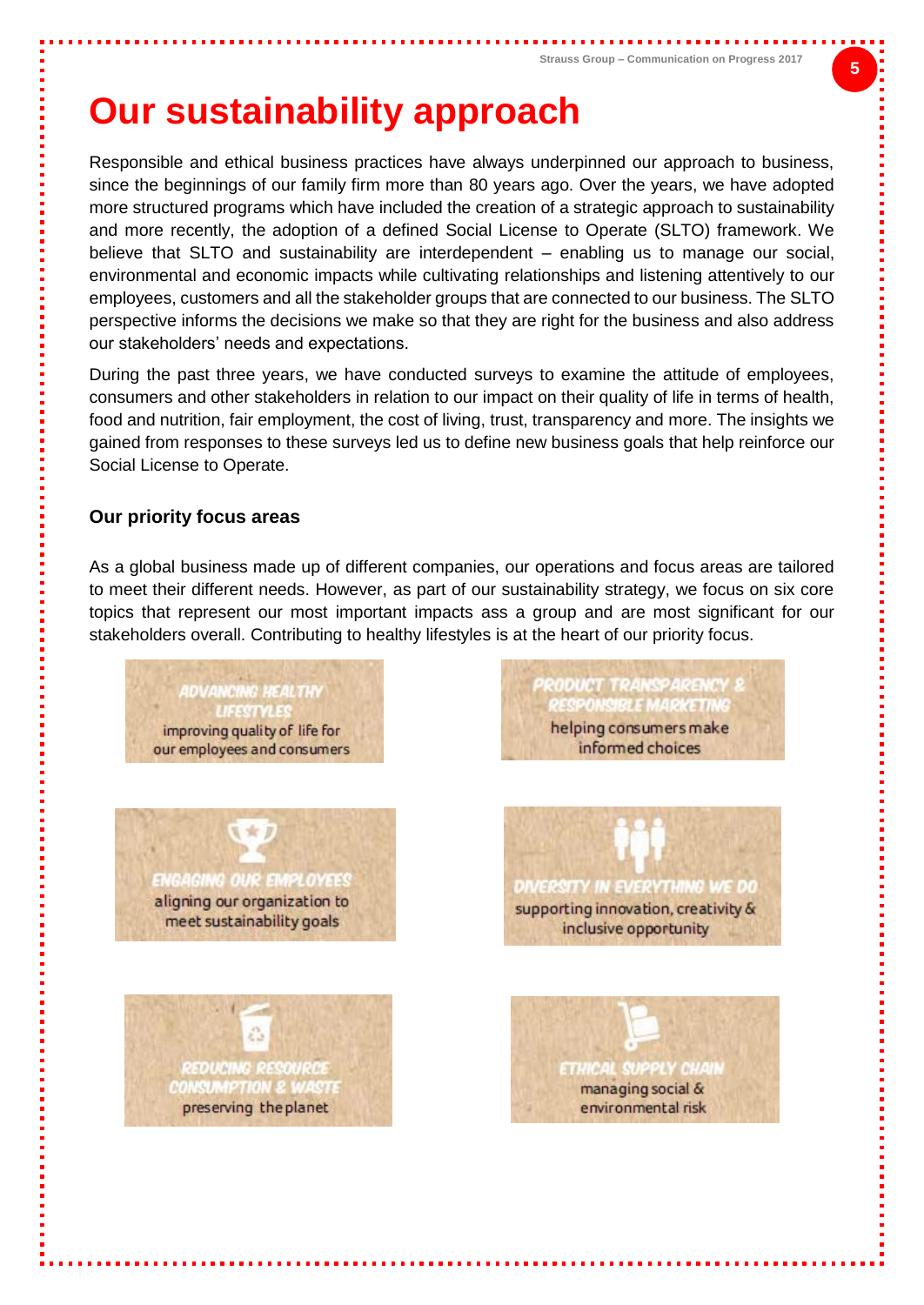## <span id="page-4-0"></span>**Our sustainability approach**

Responsible and ethical business practices have always underpinned our approach to business, since the beginnings of our family firm more than 80 years ago. Over the years, we have adopted more structured programs which have included the creation of a strategic approach to sustainability and more recently, the adoption of a defined Social License to Operate (SLTO) framework. We believe that SLTO and sustainability are interdependent – enabling us to manage our social, environmental and economic impacts while cultivating relationships and listening attentively to our employees, customers and all the stakeholder groups that are connected to our business. The SLTO perspective informs the decisions we make so that they are right for the business and also address our stakeholders' needs and expectations.

During the past three years, we have conducted surveys to examine the attitude of employees, consumers and other stakeholders in relation to our impact on their quality of life in terms of health, food and nutrition, fair employment, the cost of living, trust, transparency and more. The insights we gained from responses to these surveys led us to define new business goals that help reinforce our Social License to Operate.

#### **Our priority focus areas**

As a global business made up of different companies, our operations and focus areas are tailored to meet their different needs. However, as part of our sustainability strategy, we focus on six core topics that represent our most important impacts ass a group and are most significant for our stakeholders overall. Contributing to healthy lifestyles is at the heart of our priority focus.

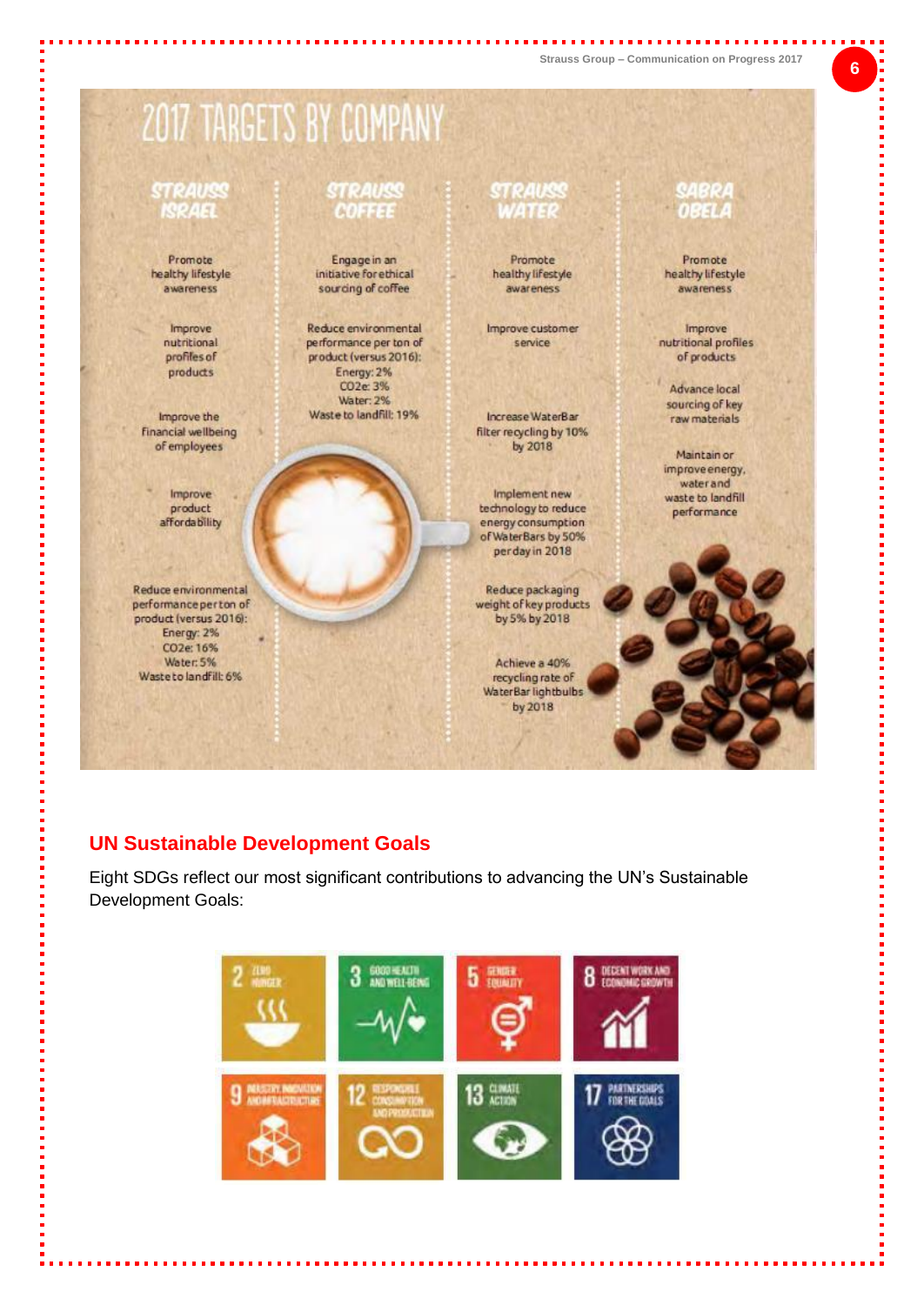#### 2017 TARGETS BY COMPANY STRAUSS STRAUSS STRAUSS **SABRA ISRAEL DRET COFFEE** 148836 Promote. Engage in an Promote Promote healthy lifestyle initiative for ethical healthy lifestyle healthy lifestyle sourcing of coffee awareness awareness awareness Reduce environmental Improve Improve customer Improve nutritional performance per ton of service nutritional profiles profiles of of products product (versus 2016): Energy: 2% products CO<sub>2</sub>e: 3% Advance local Water: 2% sourcing of key Waste to landfill: 19% Improve the Increase WaterBar raw materials **financial wellbeing** filter recycling by 10% of employees by 2018 Maintain or improve energy. water and Improve Implement new waste to landfill product technology to reduce performance affordability energy consumption of WaterBars by 50% perday in 2018 Reduce environmental Reduce packaging weight of key products performance per ton of product (versus 2016): by 5% by 2018 Energy: 2% CO2e: 16% Water: 5% Achieve a 40% Waste to landfill: 6% recycling rate of WaterBar lightbulbs by 2018

#### **UN Sustainable Development Goals**

Eight SDGs reflect our most significant contributions to advancing the UN's Sustainable Development Goals:



--------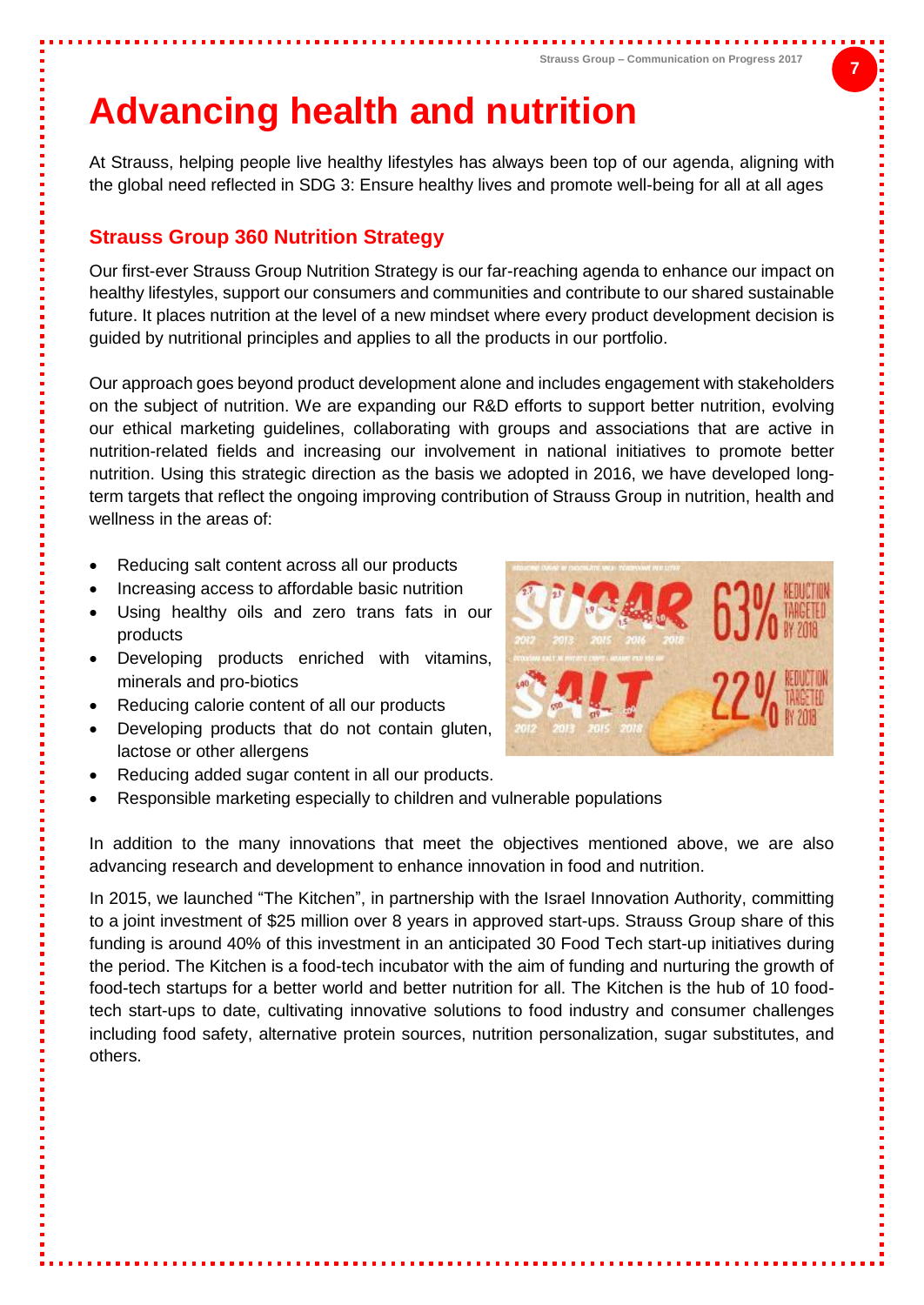# <span id="page-6-0"></span>**Advancing health and nutrition**

At Strauss, helping people live healthy lifestyles has always been top of our agenda, aligning with the global need reflected in SDG 3: Ensure healthy lives and promote well-being for all at all ages

#### **Strauss Group 360 Nutrition Strategy**

Our first-ever Strauss Group Nutrition Strategy is our far-reaching agenda to enhance our impact on healthy lifestyles, support our consumers and communities and contribute to our shared sustainable future. It places nutrition at the level of a new mindset where every product development decision is guided by nutritional principles and applies to all the products in our portfolio.

Our approach goes beyond product development alone and includes engagement with stakeholders on the subject of nutrition. We are expanding our R&D efforts to support better nutrition, evolving our ethical marketing guidelines, collaborating with groups and associations that are active in nutrition-related fields and increasing our involvement in national initiatives to promote better nutrition. Using this strategic direction as the basis we adopted in 2016, we have developed longterm targets that reflect the ongoing improving contribution of Strauss Group in nutrition, health and wellness in the areas of:

- Reducing salt content across all our products
- Increasing access to affordable basic nutrition
- Using healthy oils and zero trans fats in our products
- Developing products enriched with vitamins, minerals and pro-biotics
- Reducing calorie content of all our products
- Developing products that do not contain gluten, lactose or other allergens
- Reducing added sugar content in all our products.
- Responsible marketing especially to children and vulnerable populations

In addition to the many innovations that meet the objectives mentioned above, we are also advancing research and development to enhance innovation in food and nutrition.

In 2015, we launched "The Kitchen", in partnership with the Israel Innovation Authority, committing to a joint investment of \$25 million over 8 years in approved start-ups. Strauss Group share of this funding is around 40% of this investment in an anticipated 30 Food Tech start-up initiatives during the period. The Kitchen is a food-tech incubator with the aim of funding and nurturing the growth of food-tech startups for a better world and better nutrition for all. The Kitchen is the hub of 10 foodtech start-ups to date, cultivating innovative solutions to food industry and consumer challenges including food safety, alternative protein sources, nutrition personalization, sugar substitutes, and others.

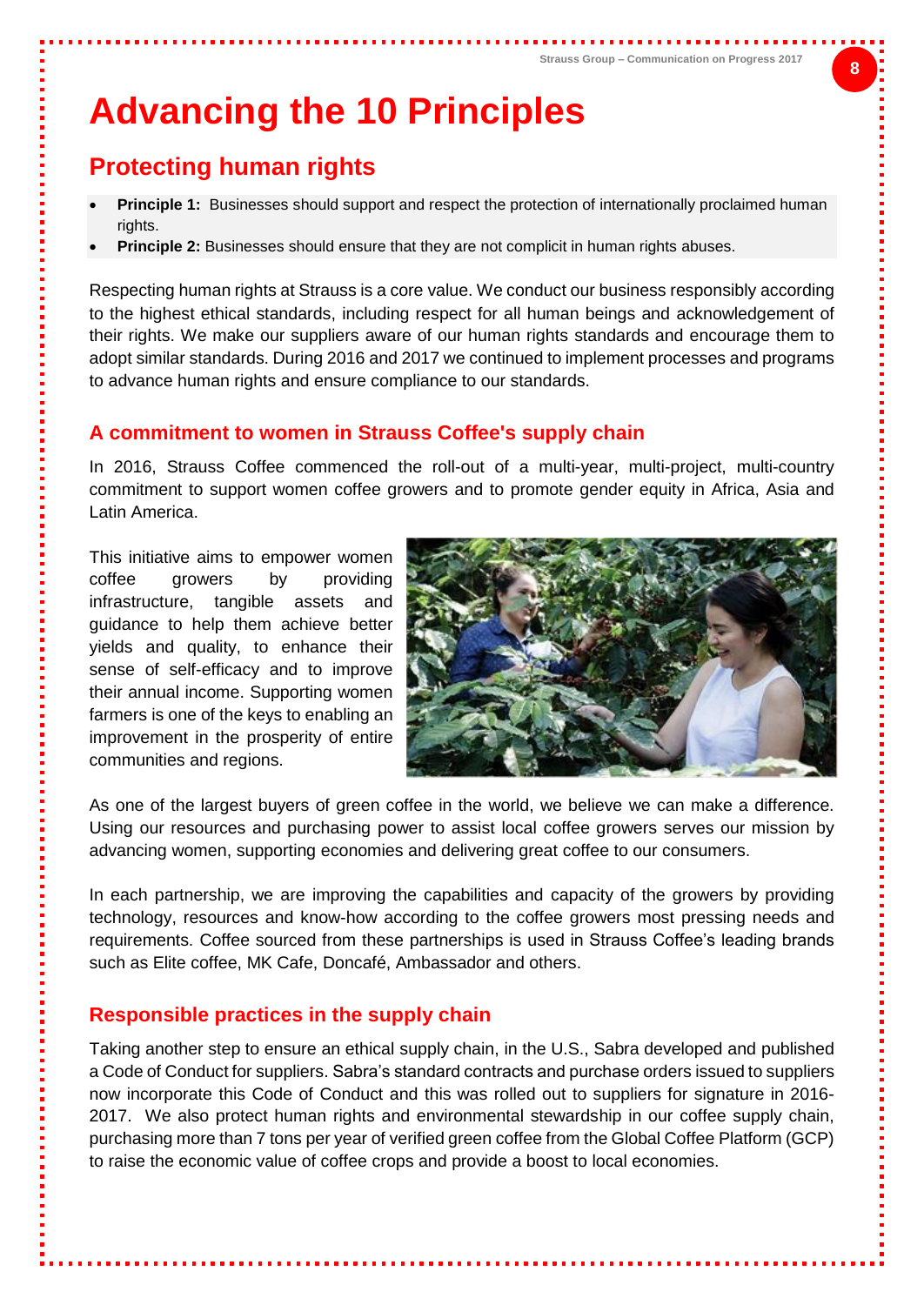# <span id="page-7-0"></span>**Advancing the 10 Principles**

### <span id="page-7-1"></span>**Protecting human rights**

- **Principle 1:** Businesses should support and respect the protection of internationally proclaimed human rights.
- **Principle 2:** Businesses should ensure that they are not complicit in human rights abuses.

Respecting human rights at Strauss is a core value. We conduct our business responsibly according to the highest ethical standards, including respect for all human beings and acknowledgement of their rights. We make our suppliers aware of our human rights standards and encourage them to adopt similar standards. During 2016 and 2017 we continued to implement processes and programs to advance human rights and ensure compliance to our standards.

#### **A commitment to women in Strauss Coffee's supply chain**

In 2016, Strauss Coffee commenced the roll-out of a multi-year, multi-project, multi-country commitment to support women coffee growers and to promote gender equity in Africa, Asia and Latin America.

This initiative aims to empower women coffee growers by providing infrastructure, tangible assets and guidance to help them achieve better yields and quality, to enhance their sense of self-efficacy and to improve their annual income. Supporting women farmers is one of the keys to enabling an improvement in the prosperity of entire communities and regions.



As one of the largest buyers of green coffee in the world, we believe we can make a difference. Using our resources and purchasing power to assist local coffee growers serves our mission by advancing women, supporting economies and delivering great coffee to our consumers.

In each partnership, we are improving the capabilities and capacity of the growers by providing technology, resources and know-how according to the coffee growers most pressing needs and requirements. Coffee sourced from these partnerships is used in Strauss Coffee's leading brands such as Elite coffee, MK Cafe, Doncafé, Ambassador and others.

#### **Responsible practices in the supply chain**

Taking another step to ensure an ethical supply chain, in the U.S., Sabra developed and published a Code of Conduct for suppliers. Sabra's standard contracts and purchase orders issued to suppliers now incorporate this Code of Conduct and this was rolled out to suppliers for signature in 2016- 2017. We also protect human rights and environmental stewardship in our coffee supply chain, purchasing more than 7 tons per year of verified green coffee from the Global Coffee Platform (GCP) to raise the economic value of coffee crops and provide a boost to local economies.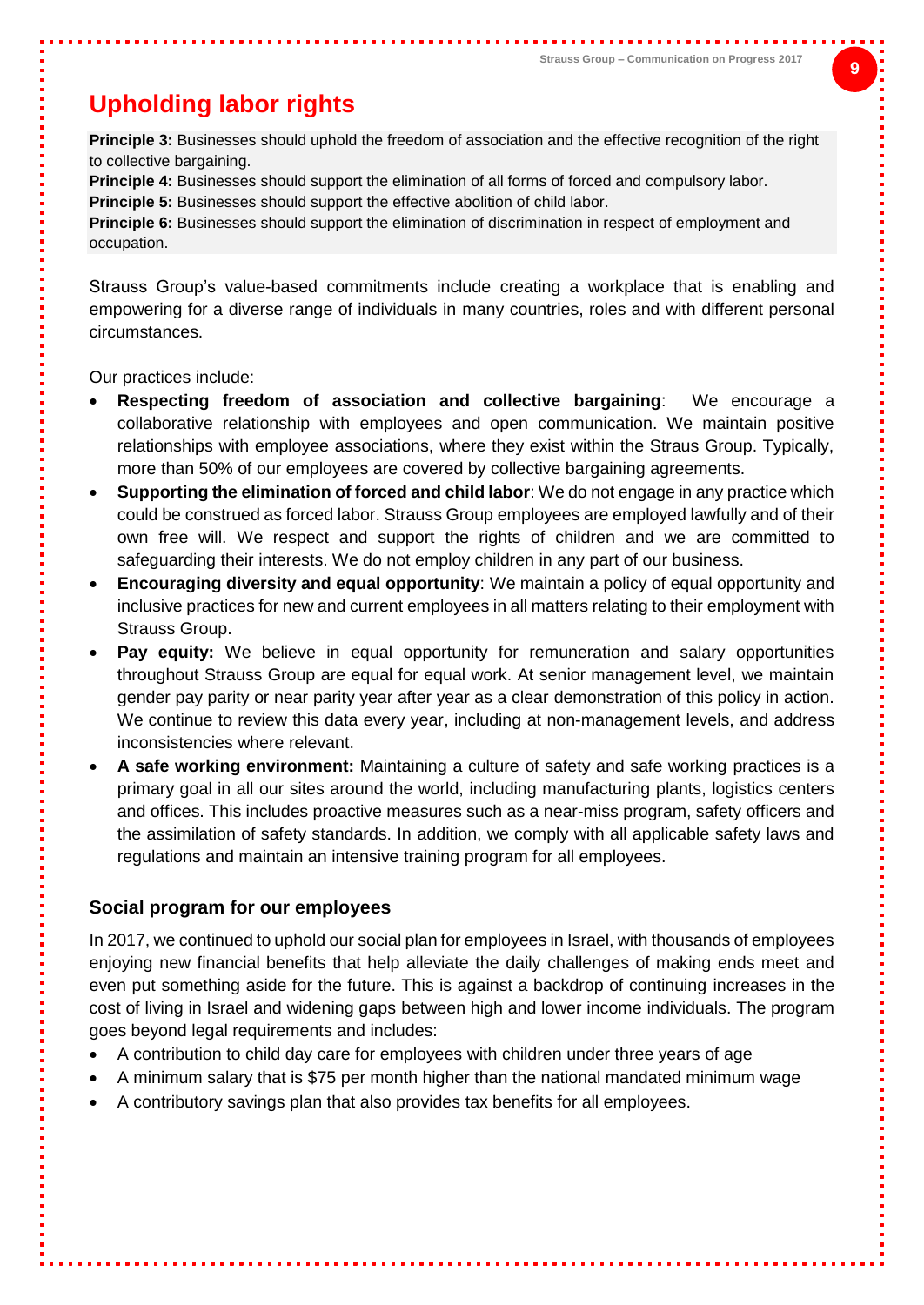### <span id="page-8-0"></span>**Upholding labor rights**

**Principle 3:** Businesses should uphold the freedom of association and the effective recognition of the right to collective bargaining.

**Principle 4:** Businesses should support the elimination of all forms of forced and compulsory labor.

**Principle 5:** Businesses should support the effective abolition of child labor.

**Principle 6:** Businesses should support the elimination of discrimination in respect of employment and occupation.

Strauss Group's value-based commitments include creating a workplace that is enabling and empowering for a diverse range of individuals in many countries, roles and with different personal circumstances.

Our practices include:

- **Respecting freedom of association and collective bargaining**: We encourage a collaborative relationship with employees and open communication. We maintain positive relationships with employee associations, where they exist within the Straus Group. Typically, more than 50% of our employees are covered by collective bargaining agreements.
- **Supporting the elimination of forced and child labor**: We do not engage in any practice which could be construed as forced labor. Strauss Group employees are employed lawfully and of their own free will. We respect and support the rights of children and we are committed to safeguarding their interests. We do not employ children in any part of our business.
- **Encouraging diversity and equal opportunity**: We maintain a policy of equal opportunity and inclusive practices for new and current employees in all matters relating to their employment with Strauss Group.
- **Pay equity:** We believe in equal opportunity for remuneration and salary opportunities throughout Strauss Group are equal for equal work. At senior management level, we maintain gender pay parity or near parity year after year as a clear demonstration of this policy in action. We continue to review this data every year, including at non-management levels, and address inconsistencies where relevant.
- **A safe working environment:** Maintaining a culture of safety and safe working practices is a primary goal in all our sites around the world, including manufacturing plants, logistics centers and offices. This includes proactive measures such as a near-miss program, safety officers and the assimilation of safety standards. In addition, we comply with all applicable safety laws and regulations and maintain an intensive training program for all employees.

#### **Social program for our employees**

In 2017, we continued to uphold our social plan for employees in Israel, with thousands of employees enjoying new financial benefits that help alleviate the daily challenges of making ends meet and even put something aside for the future. This is against a backdrop of continuing increases in the cost of living in Israel and widening gaps between high and lower income individuals. The program goes beyond legal requirements and includes:

- A contribution to child day care for employees with children under three years of age
- A minimum salary that is \$75 per month higher than the national mandated minimum wage
- A contributory savings plan that also provides tax benefits for all employees.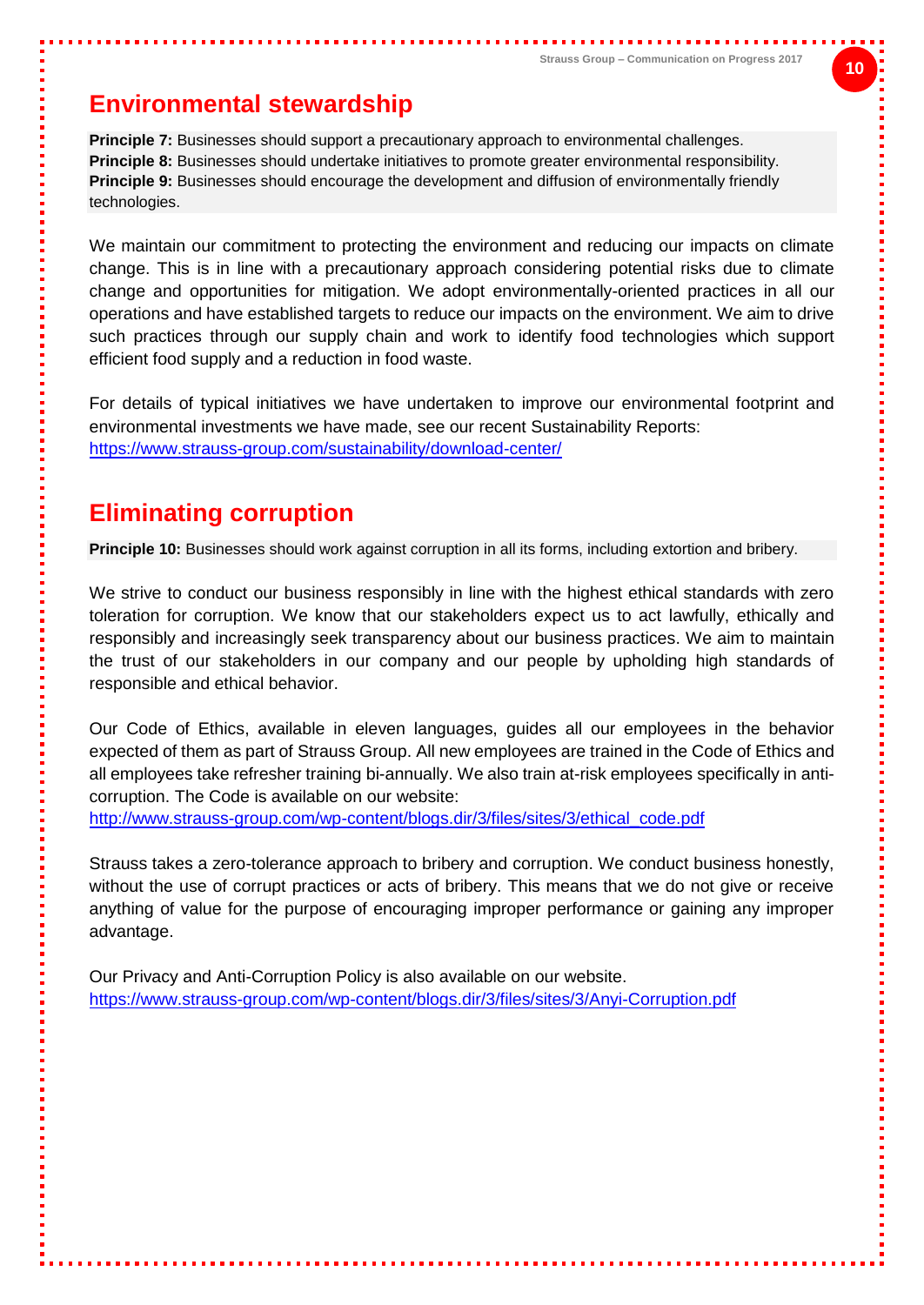### <span id="page-9-0"></span>**Environmental stewardship**

**Principle 7:** Businesses should support a precautionary approach to environmental challenges. **Principle 8:** Businesses should undertake initiatives to promote greater environmental responsibility. **Principle 9:** Businesses should encourage the development and diffusion of environmentally friendly technologies.

We maintain our commitment to protecting the environment and reducing our impacts on climate change. This is in line with a precautionary approach considering potential risks due to climate change and opportunities for mitigation. We adopt environmentally-oriented practices in all our operations and have established targets to reduce our impacts on the environment. We aim to drive such practices through our supply chain and work to identify food technologies which support efficient food supply and a reduction in food waste.

For details of typical initiatives we have undertaken to improve our environmental footprint and environmental investments we have made, see our recent Sustainability Reports: <https://www.strauss-group.com/sustainability/download-center/>

### <span id="page-9-1"></span>**Eliminating corruption**

**Principle 10:** Businesses should work against corruption in all its forms, including extortion and bribery.

We strive to conduct our business responsibly in line with the highest ethical standards with zero toleration for corruption. We know that our stakeholders expect us to act lawfully, ethically and responsibly and increasingly seek transparency about our business practices. We aim to maintain the trust of our stakeholders in our company and our people by upholding high standards of responsible and ethical behavior.

Our Code of Ethics, available in eleven languages, guides all our employees in the behavior expected of them as part of Strauss Group. All new employees are trained in the Code of Ethics and all employees take refresher training bi-annually. We also train at-risk employees specifically in anticorruption. The Code is available on our website:

[http://www.strauss-group.com/wp-content/blogs.dir/3/files/sites/3/ethical\\_code.pdf](http://www.strauss-group.com/wp-content/blogs.dir/3/files/sites/3/ethical_code.pdf)

Strauss takes a zero-tolerance approach to bribery and corruption. We conduct business honestly, without the use of corrupt practices or acts of bribery. This means that we do not give or receive anything of value for the purpose of encouraging improper performance or gaining any improper advantage.

Our Privacy and Anti-Corruption Policy is also available on our website. <https://www.strauss-group.com/wp-content/blogs.dir/3/files/sites/3/Anyi-Corruption.pdf>